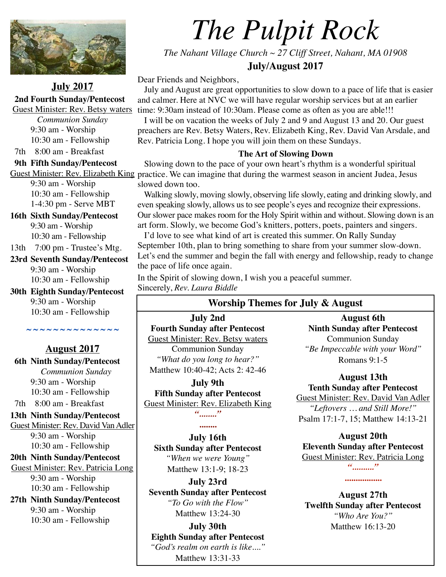

**July 2017 2nd Fourth Sunday/Pentecost** 

*Communion Sunday*

# *The Pulpit Rock*

*The Nahant Village Church ~ 27 Cliff Street, Nahant, MA 01908* 

**July/August 2017**

Dear Friends and Neighbors,

Guest Minister: Rev. Betsy waters time: 9:30am instead of 10:30am. Please come as often as you are able!!! July and August are great opportunities to slow down to a pace of life that is easier and calmer. Here at NVC we will have regular worship services but at an earlier

 I will be on vacation the weeks of July 2 and 9 and August 13 and 20. Our guest preachers are Rev. Betsy Waters, Rev. Elizabeth King, Rev. David Van Arsdale, and Rev. Patricia Long. I hope you will join them on these Sundays.

## **The Art of Slowing Down**

Guest Minister: Rev. Elizabeth King practice. We can imagine that during the warmest season in ancient Judea, Jesus Slowing down to the pace of your own heart's rhythm is a wonderful spiritual slowed down too.

> Walking slowly, moving slowly, observing life slowly, eating and drinking slowly, and even speaking slowly, allows us to see people's eyes and recognize their expressions. Our slower pace makes room for the Holy Spirit within and without. Slowing down is an art form. Slowly, we become God's knitters, potters, poets, painters and singers.

> I'd love to see what kind of art is created this summer. On Rally Sunday September 10th, plan to bring something to share from your summer slow-down. Let's end the summer and begin the fall with energy and fellowship, ready to change the pace of life once again.

In the Spirit of slowing down, I wish you a peaceful summer. Sincerely, *Rev. Laura Biddle*

# **Worship Themes for July & August**

**July 2nd Fourth Sunday after Pentecost**  Guest Minister: Rev. Betsy waters Communion Sunday *"What do you long to hear?"*  [Matthew 10:40-42](http://lectionarypage.net/YearA_RCL/Pentecost/Aprop8_RCL.html#gsp1); Acts 2: 42-46

**July 9th Fifth Sunday after Pentecost**  Guest Minister: Rev. Elizabeth King

*"........"* 

**........ July 16th Sixth Sunday after Pentecost** *"When we were Young"* 

Matthew 13:1-9; 18-23

**July 23rd Seventh Sunday after Pentecost** *"To Go with the Flow"*  Matthew 13:24-30

**July 30th Eighth Sunday after Pentecost** *"God's realm on earth is like...."*  Matthew 13:31-33

**August 6th Ninth Sunday after Pentecost**  Communion Sunday *"Be Impeccable with your Word"*  Romans 9:1-5

**August 13th Tenth Sunday after Pentecost**  Guest Minister: Rev. David Van Adler *"Leftovers … and Still More!"*  Psalm 17:1-7, 15; Matthew 14:13-21

**August 20th Eleventh Sunday after Pentecost**  Guest Minister: Rev. Patricia Long *".........."* 

**August 27th Twelfth Sunday after Pentecost** *"Who Are You?"*  Matthew 16:13-20

**.................** 

9:30 am - Worship 10:30 am - Fellowship 7th 8:00 am - Breakfast  **9th Fifth Sunday/Pentecost** 

9:30 am - Worship 10:30 am - Fellowship 1-4:30 pm - Serve MBT

**16th Sixth Sunday/Pentecost**  9:30 am - Worship 10:30 am - Fellowship

13th 7:00 pm - Trustee's Mtg.

**23rd Seventh Sunday/Pentecost**  9:30 am - Worship 10:30 am - Fellowship

**30th Eighth Sunday/Pentecost** 9:30 am - Worship 10:30 am - Fellowship

# **August 2017**

**~ ~ ~ ~ ~ ~ ~ ~ ~ ~ ~ ~ ~ ~** 

 **6th Ninth Sunday/Pentecost** *Communion Sunday* 9:30 am - Worship 10:30 am - Fellowship 7th 8:00 am - Breakfast

**13th Ninth Sunday/Pentecost**  Guest Minister: Rev. David Van Adler 9:30 am - Worship 10:30 am - Fellowship

**20th Ninth Sunday/Pentecost**  Guest Minister: Rev. Patricia Long 9:30 am - Worship 10:30 am - Fellowship

**27th Ninth Sunday/Pentecost**  9:30 am - Worship 10:30 am - Fellowship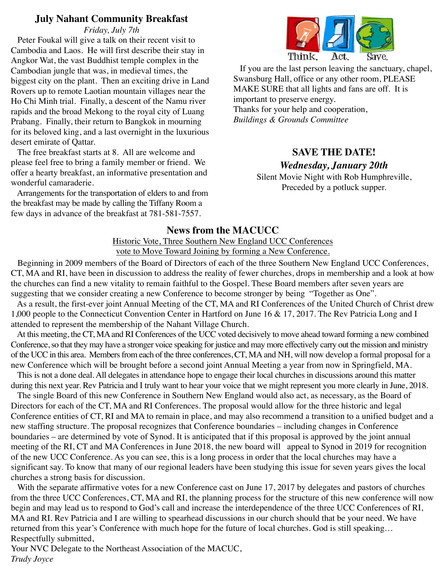# **July Nahant Community Breakfast**

*Friday, July 7th* 

 Peter Foukal will give a talk on their recent visit to Cambodia and Laos. He will first describe their stay in Angkor Wat, the vast Buddhist temple complex in the Cambodian jungle that was, in medieval times, the biggest city on the plant. Then an exciting drive in Land Rovers up to remote Laotian mountain villages near the Ho Chi Minh trial. Finally, a descent of the Namu river rapids and the broad Mekong to the royal city of Luang Prabang. Finally, their return to Bangkok in mourning for its beloved king, and a last overnight in the luxurious desert emirate of Qattar.

 The free breakfast starts at 8. All are welcome and please feel free to bring a family member or friend. We offer a hearty breakfast, an informative presentation and wonderful camaraderie.

 Arrangements for the transportation of elders to and from the breakfast may be made by calling the Tiffany Room a few days in advance of the breakfast at 781-581-7557.



 If you are the last person leaving the sanctuary, chapel, Swansburg Hall, office or any other room, PLEASE MAKE SURE that all lights and fans are off. It is important to preserve energy. Thanks for your help and cooperation, *Buildings & Grounds Committee* 

# **SAVE THE DATE!**

# *Wednesday, January 20th*

Silent Movie Night with Rob Humphreville, Preceded by a potluck supper.

# **News from the MACUCC**

Historic Vote, Three Southern New England UCC Conferences vote to Move Toward Joining by forming a New Conference.

 Beginning in 2009 members of the Board of Directors of each of the three Southern New England UCC Conferences, CT, MA and RI, have been in discussion to address the reality of fewer churches, drops in membership and a look at how the churches can find a new vitality to remain faithful to the Gospel. These Board members after seven years are suggesting that we consider creating a new Conference to become stronger by being "Together as One".

 As a result, the first-ever joint Annual Meeting of the CT, MA and RI Conferences of the United Church of Christ drew 1,000 people to the Connecticut Convention Center in Hartford on June 16 & 17, 2017. The Rev Patricia Long and I attended to represent the membership of the Nahant Village Church.

 At this meeting, the CT, MA and RI Conferences of the UCC voted decisively to move ahead toward forming a new combined Conference, so that they may have a stronger voice speaking for justice and may more effectively carry out the mission and ministry of the UCC in this area. Members from each of the three conferences, CT, MA and NH, will now develop a formal proposal for a new Conference which will be brought before a second joint Annual Meeting a year from now in Springfield, MA.

 This is not a done deal. All delegates in attendance hope to engage their local churches in discussions around this matter during this next year. Rev Patricia and I truly want to hear your voice that we might represent you more clearly in June, 2018.

 The single Board of this new Conference in Southern New England would also act, as necessary, as the Board of Directors for each of the CT, MA and RI Conferences. The proposal would allow for the three historic and legal Conference entities of CT, RI and MA to remain in place, and may also recommend a transition to a unified budget and a new staffing structure. The proposal recognizes that Conference boundaries – including changes in Conference boundaries – are determined by vote of Synod. It is anticipated that if this proposal is approved by the joint annual meeting of the RI, CT and MA Conferences in June 2018, the new board will appeal to Synod in 2019 for recognition of the new UCC Conference. As you can see, this is a long process in order that the local churches may have a significant say. To know that many of our regional leaders have been studying this issue for seven years gives the local churches a strong basis for discussion.

With the separate affirmative votes for a new Conference cast on June 17, 2017 by delegates and pastors of churches from the three UCC Conferences, CT, MA and RI, the planning process for the structure of this new conference will now begin and may lead us to respond to God's call and increase the interdependence of the three UCC Conferences of RI, MA and RI. Rev Patricia and I are willing to spearhead discussions in our church should that be your need. We have returned from this year's Conference with much hope for the future of local churches. God is still speaking… Respectfully submitted,

Your NVC Delegate to the Northeast Association of the MACUC, *Trudy Joyce*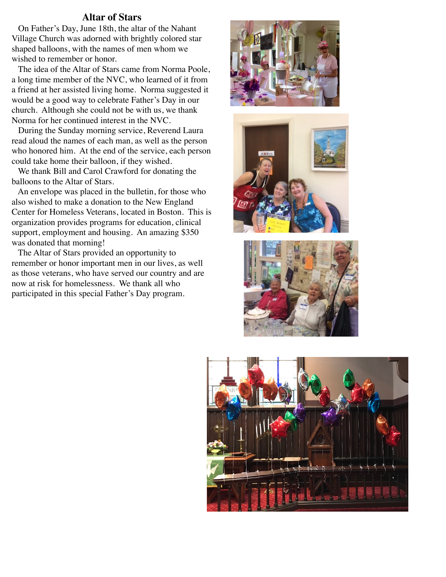## **Altar of Stars**

 On Father's Day, June 18th, the altar of the Nahant Village Church was adorned with brightly colored star shaped balloons, with the names of men whom we wished to remember or honor.

 The idea of the Altar of Stars came from Norma Poole, a long time member of the NVC, who learned of it from a friend at her assisted living home. Norma suggested it would be a good way to celebrate Father's Day in our church. Although she could not be with us, we thank Norma for her continued interest in the NVC.

 During the Sunday morning service, Reverend Laura read aloud the names of each man, as well as the person who honored him. At the end of the service, each person could take home their balloon, if they wished.

 We thank Bill and Carol Crawford for donating the balloons to the Altar of Stars.

 An envelope was placed in the bulletin, for those who also wished to make a donation to the New England Center for Homeless Veterans, located in Boston. This is organization provides programs for education, clinical support, employment and housing. An amazing \$350 was donated that morning!

 The Altar of Stars provided an opportunity to remember or honor important men in our lives, as well as those veterans, who have served our country and are now at risk for homelessness. We thank all who participated in this special Father's Day program.